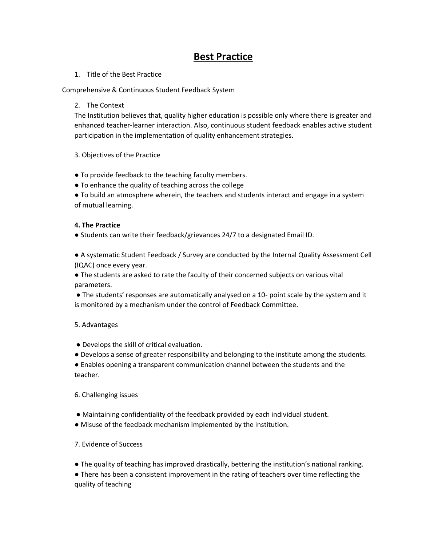# **Best Practice**

#### 1. Title of the Best Practice

Comprehensive & Continuous Student Feedback System

#### 2. The Context

The Institution believes that, quality higher education is possible only where there is greater and enhanced teacher-learner interaction. Also, continuous student feedback enables active student participation in the implementation of quality enhancement strategies.

## 3. Objectives of the Practice

- To provide feedback to the teaching faculty members.
- To enhance the quality of teaching across the college

● To build an atmosphere wherein, the teachers and students interact and engage in a system of mutual learning.

## **4. The Practice**

● Students can write their feedback/grievances 24/7 to a designated Email ID.

● A systematic Student Feedback / Survey are conducted by the Internal Quality Assessment Cell (IQAC) once every year.

● The students are asked to rate the faculty of their concerned subjects on various vital parameters.

● The students' responses are automatically analysed on a 10- point scale by the system and it is monitored by a mechanism under the control of Feedback Committee.

#### 5. Advantages

- Develops the skill of critical evaluation.
- Develops a sense of greater responsibility and belonging to the institute among the students.

● Enables opening a transparent communication channel between the students and the teacher.

## 6. Challenging issues

- Maintaining confidentiality of the feedback provided by each individual student.
- Misuse of the feedback mechanism implemented by the institution.
- 7. Evidence of Success
- The quality of teaching has improved drastically, bettering the institution's national ranking.

● There has been a consistent improvement in the rating of teachers over time reflecting the quality of teaching